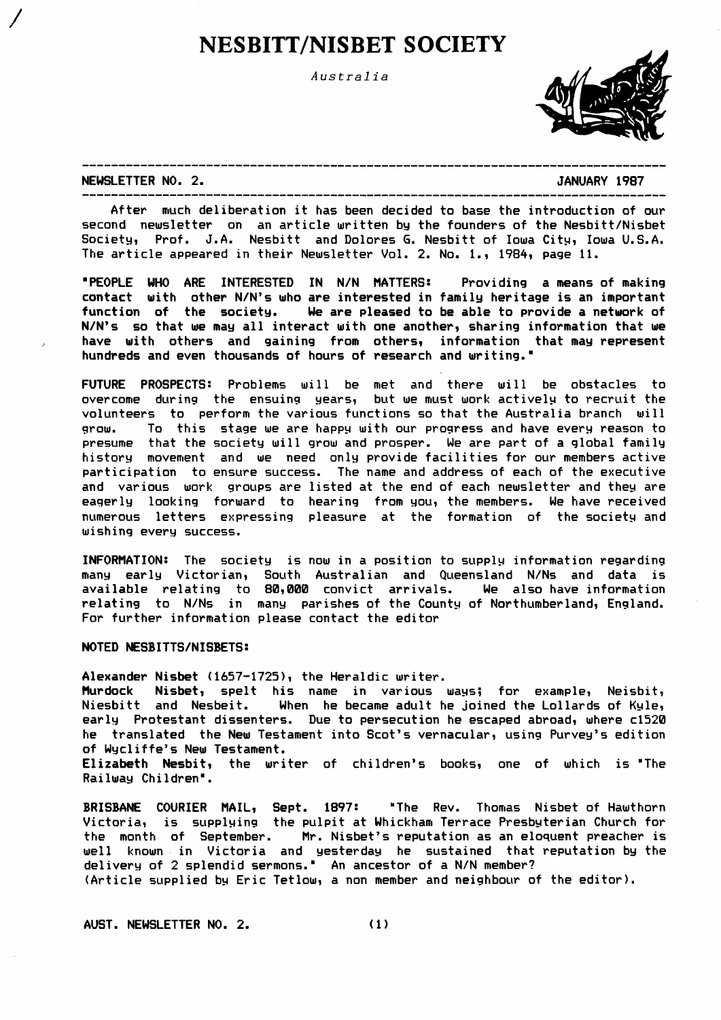# **NESBITT/NISBET SOCIETY**

Australia



NEWSLETTER NO. 2.

#### JANUARY 1987

After much deliberation it has been decided to base the introduction of our second newsletter on an article written by the founders of the Nesbitt/Nisbet Society, Prof. J.A. Nesbitt and Dolores G. Nesbitt of Iowa City, Iowa U.S.A. The article appeared in their Newsletter Vol. 2. No. 1., 1984, page 11.

"PEOPLE WHO ARE INTERESTED IN N/N MATTERS: Providing a means of making contact with other N/N's who are interested in family heritage is an important function of the society. We are pleased to be able to provide a network of N/N's so that we may all interact with one another, sharing information that we have with others and gaining from others, information that may represent hundreds and even thousands of hours of research and writing."

FUTURE PROSPECTS: Problems will be met and there will be obstacles to overcome during the ensuing years, but we must work actively to recruit the volunteers to perform the various functions so that the Australia branch will grow. To this stage we are happy with our progress and have every reason to presume that the society will grow and prosper. We are part of a global family history movement and we need only provide facilities for our members active participation to ensure success. The name and address of each of the executive and various work groups are listed at the end of each newsletter and they are eagerly looking forward to hearing from you, the members. We have received numerous letters expressing pleasure at the formation of the society and wishing every success.

INFORMATION: The society is now in a position to supply information regarding many early Victorian, South Australian and Queensland N/Ns and data is available relating to 80,000 convict arrivals. We also have information relating to N/Ns in many parishes of the County of Northumberland, England. For further information please contact the editor

# NOTED NESBITTS/NISBETS:

Alexander Nisbet (1657-1725), the Heraldic writer.

Murdock Nisbet, spelt his name in various ways; for example, Neisbit, Niesbitt and Nesbeit. When he became adult he joined the Lollards of Kyle, early Protestant dissenters. Due to persecution he escaped abroad, where c1520 he translated the New Testament into Scot's vernacular, using Purvey's edition of Wycliffe's New Testament.

Elizabeth Nesbit, the writer of children's books, one of which is "The Railway Children".

BRISBANE COURIER MAIL, Sept. 1897: "The Rev. Thomas Nisbet of Hawthorn<br>Victoria, is supplying the pulpit at Whickham Terrace Presbyterian Church for the month of September. Mr. Nisbet's reputation as an eloquent preacher is well known in Victoria and yesterday he sustained that reputation by the delivery of 2 splendid sermons." An ancestor of a N/N member? (Article supplied by Eric Tetlow, a non member and neighbour of the editor).

AUST. NEWSLETTER NO. 2.  $(1)$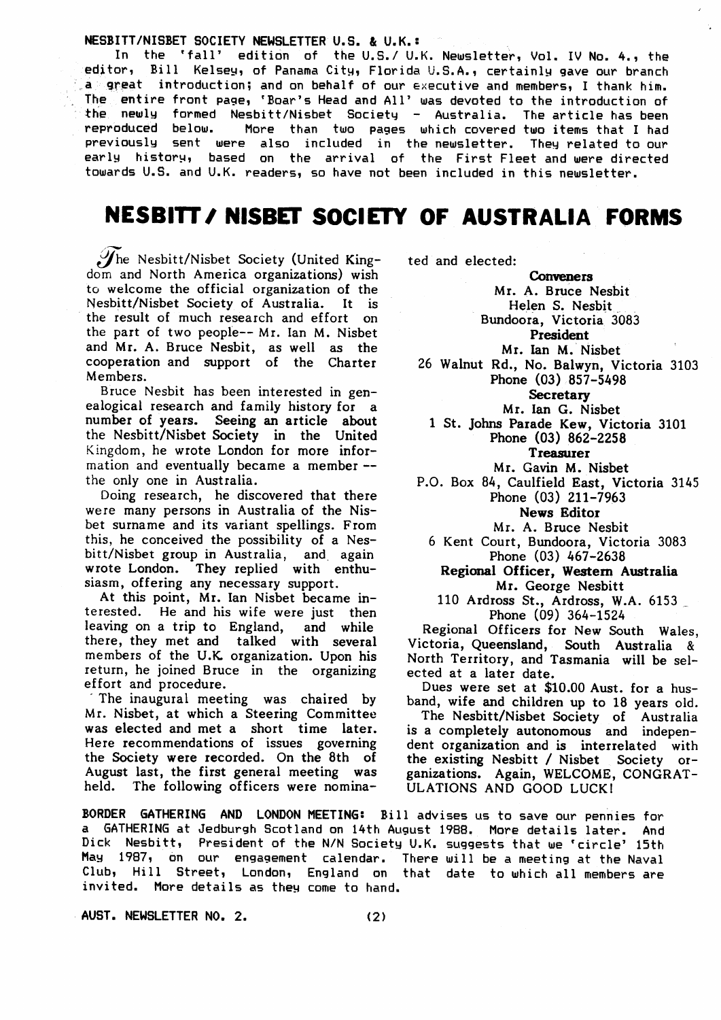NESBITT/NISBET SOCIETY NEWSLETTER U.S. & U.K.:

In the 'fall' edition of the U.S./ U.K. Newsletter, Vol. IV No. 4., the editor, Bill Kelsey, of Panama City, Florida U.S.A., certainly gave our branch a great introduction; and on behalf of our executive and members, I thank him. The entire front page, 'Boar's Head and All' was devoted to the introduction of the newly formed Nesbitt/Nisbet Society - Australia. The article has been reproduced below. More than two pages which covered two items that I had previously sent were also included in the newsletter. They related to our early history, based on the arrival of the First Fleet and were directed towards U.S. and U.K. readers, so have not been included in this newsletter.

# **NESBITT/ NISBET SOCIETY OF AUSTRALIA FORMS**

The Nesbitt/Nisbet Society (United Kingdom and North America organizations) wish to welcome the official organization of the Nesbitt/Nisbet Society of Australia. It is the result of much research and effort on the part of two people-- Mr. Ian M. Nisbet and Mr. A. Bruce Nesbit, as well as the cooperation and support of the Charter Members.

Bruce Nesbit has been interested in genealogical research and family history for a number of years. Seeing an article about the Nesbitt/Nisbet Society in the United Kingdom, he wrote London for more information and eventually became a member -the only one in Australia.

Doing research, he discovered that there were many persons in Australia of the Nisbet surname and its variant spellings. From this, he conceived the possibility of a Nesbitt/Nisbet group in Australia, and again wrote London. They replied with enthusiasm, offering any necessary support.

At this point, Mr. Ian Nisbet became interested. He and his wife were just then leaving on a trip to England, and while there, they met and talked with several members of the U.K. organization. Upon his return, he joined Bruce in the organizing effort and procedure.

The inaugural meeting was chaired by Mr. Nisbet, at which a Steering Committee was elected and met a short time later. Here recommendations of issues governing the Society were recorded. On the 8th of August last, the first general meeting was held. The following officers were nomina-

BORDER GATHERING AND LONDON MEETING: Bill advises us to save our pennies for a GATHERING at Jedburgh Scotland on 14th August 1988. More details later. And Dick Nesbitt, President of the N/N Society U.K. suggests that we 'circle' 15th<br>May 1987, on our engagement calendar. There will be a meeting at the Naval Club, Hill Street, London, England on that date to which all members are invited. More details as they come to hand.

AUST. NEWSLETTER NO. 2.

ted and elected:

**Conveners** 

Mr. A. Bruce Nesbit Helen S. Nesbit Bundoora, Victoria 3083

President

Mr. Ian M. Nisbet

26 Walnut Rd., No. Balwyn, Victoria 3103 Phone  $(03)$  857-5498

Secretary

Mr. Ian G. Nisbet

1 St. Johns Parade Kew, Victoria 3101 Phone (03) 862-2258 **Treasurer** 

Mr. Gavin M. Nisbet

P.O. Box 84, Caulfield East, Victoria 3145 Phone (03) 211-7963 **News Editor** 

Mr. A. Bruce Nesbit

6 Kent Court, Bundoora, Victoria 3083 Phone (03) 467-2638

Regional Officer, Western Australia Mr. George Nesbitt

110 Ardross St., Ardross, W.A. 6153 Phone (09) 364-1524

Regional Officers for New South Wales, Victoria, Queensland, South Australia & North Territory, and Tasmania will be selected at a later date.

Dues were set at \$10.00 Aust. for a husband, wife and children up to 18 years old.

The Nesbitt/Nisbet Society of Australia is a completely autonomous and independent organization and is interrelated with the existing Nesbitt / Nisbet Society organizations. Again, WELCOME, CONGRAT-ULATIONS AND GOOD LUCK!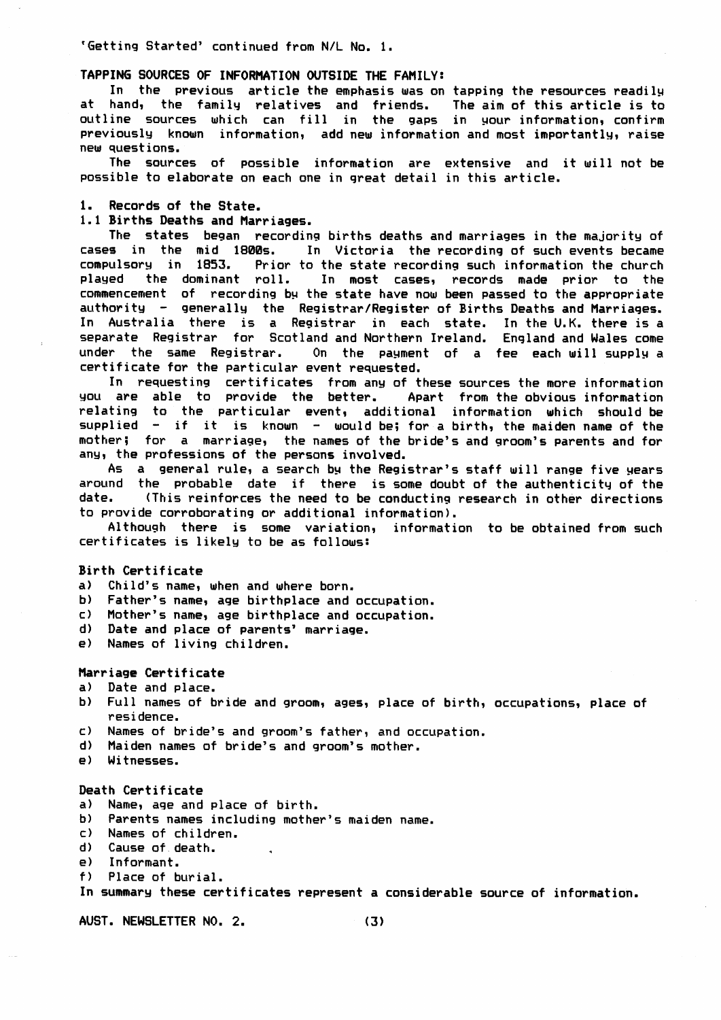'Getting Started' continued from N/L No. 1.

## TAPPING SOURCES OF INFORMATION OUTSIDE THE FAMILY:

In the previous article the emphasis was on tapping the resources readily at hand, the family relatives and friends. The aim of this article is to outline sources which can fill in the gaps in your information, confirm previously known information, add new information and most importantly, raise new questions.

The sources of possible information are extensive and it will not be possible to elaborate on each one in great detail in this article.

1. Records of the State.

# 1.1 Births Deaths and Marriages.

The states began recording births deaths and marriages in the majority of cases in the mid 1800s. In Victoria the recording of such events became compulsory in 1853. Prior to the state recording such information the church played the dominant roll. In most cases, records made prior to the commencement of recording by the state have now been passed to the appropriate authority - generally the Registrar/Register of Births Deaths and Marriages. In Australia there is a Registrar in each state. In the U.K. there is a separate Registrar for Scotland and Northern Ireland. England and Wales come under the same Registrar. On the payment of a fee each will supply a certificate for the particular event requested.

In requesting certificates from any of these sources the more information you are able to provide the better. Apart from the obvious information relating to the particular event, additional information which should be supplied - if it is known - would be; for a birth, the maiden name of the mother; for a marriage, the names of the bride's and groom's parents and for any, the professions of the persons involved.

As a general rule, a search by the Registrar's staff will range five years around the probable date if there is some doubt of the authenticity of the (This reinforces the need to be conducting research in other directions date. to provide corroborating or additional information).

Although there is some variation, information to be obtained from such certificates is likely to be as follows:

#### Birth Certificate

a) Child's name, when and where born.

b) Father's name, age birthplace and occupation.

- c) Mother's name, age birthplace and occupation.
- d) Date and place of parents' marriage.
- e) Names of living children.

### Marriage Certificate

- a) Date and place.
- b) Full names of bride and groom, ages, place of birth, occupations, place of residence.
- c) Names of bride's and groom's father, and occupation.
- d) Maiden names of bride's and groom's mother.
- e) Witnesses.

### Death Certificate

- a) Name, age and place of birth.
- b) Parents names including mother's maiden name.
- c) Names of children.
- d) Cause of death.
- Informant.  $\mathsf{a}$
- $f$ ) Place of burial.

In summary these certificates represent a considerable source of information.

AUST. NEWSLETTER NO. 2.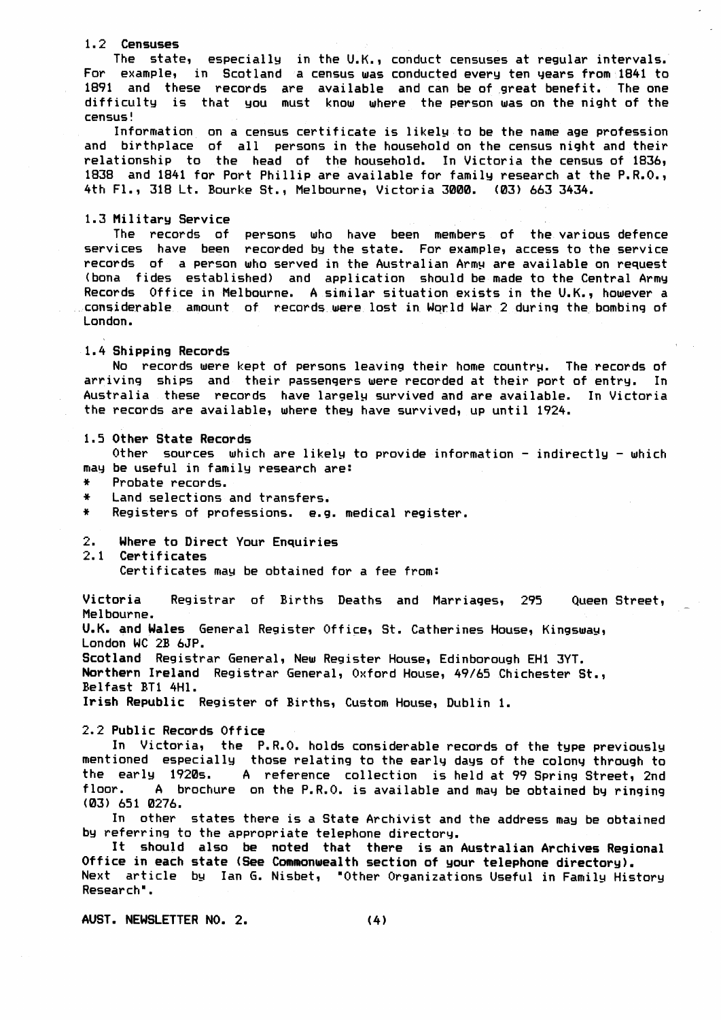#### 1.2 Censuses

The state, especially in the U.K., conduct censuses at regular intervals. For example, in Scotland a census was conducted every ten years from 1841 to 1891 and these records are available and can be of great benefit. The one difficulty is that you must know where the person was on the night of the  $c$ ensus!

Information on a census certificate is likely to be the name age profession and birthplace of all persons in the household on the census night and their relationship to the head of the household. In Victoria the census of 1836, 1838 and 1841 for Port Phillip are available for family research at the P.R.O., 4th Fl., 318 Lt. Bourke St., Melbourne, Victoria 3000. (03) 663 3434.

#### 1.3 Military Service

The records of persons who have been members of the various defence services have been recorded by the state. For example, access to the service records of a person who served in the Australian Army are available on request (bona fides established) and application should be made to the Central Army Records Office in Melbourne. A similar situation exists in the U.K., however a considerable amount of records were lost in World War 2 during the bombing of London.

# 1.4 Shipping Records

No records were kept of persons leaving their home country. The records of arriving ships and their passengers were recorded at their port of entry. In Australia these records have largely survived and are available. In Victoria the records are available, where they have survived, up until 1924.

#### 1.5 Other State Records

Other sources which are likely to provide information - indirectly - which may be useful in family research are:

- $\ddot{\textbf{x}}$ Probate records.
- $\ddot{\bullet}$ Land selections and transfers.
- $\ddot{\bullet}$ Registers of professions. e.g. medical register.
- Where to Direct Your Enquiries  $2.$
- 2.1 Certificates

Certificates may be obtained for a fee from:

Victoria Registrar of Births Deaths and Marriages, 295 Queen Street, Melbourne.

U.K. and Wales General Register Office, St. Catherines House, Kingsway, London WC 2B 6JP.

Scotland Registrar General, New Register House, Edinborough EH1 3YT. Northern Ireland Registrar General, Oxford House, 49/65 Chichester St., Belfast BT1 4Hl.

Irish Republic Register of Births, Custom House, Dublin 1.

## 2.2 Public Records Office

In Victoria, the P.R.O. holds considerable records of the type previously mentioned especially those relating to the early days of the colony through to the early 1920s. A reference collection is held at 99 Spring Street, 2nd floor. A brochure on the P.R.O. is available and may be obtained by ringing (03) 651 0276.

In other states there is a State Archivist and the address may be obtained by referring to the appropriate telephone directory.

It should also be noted that there is an Australian Archives Regional Office in each state (See Commonwealth section of your telephone directory). Next article by Ian G. Nisbet, "Other Organizations Useful in Family History Research".

AUST. NEWSLETTER NO. 2.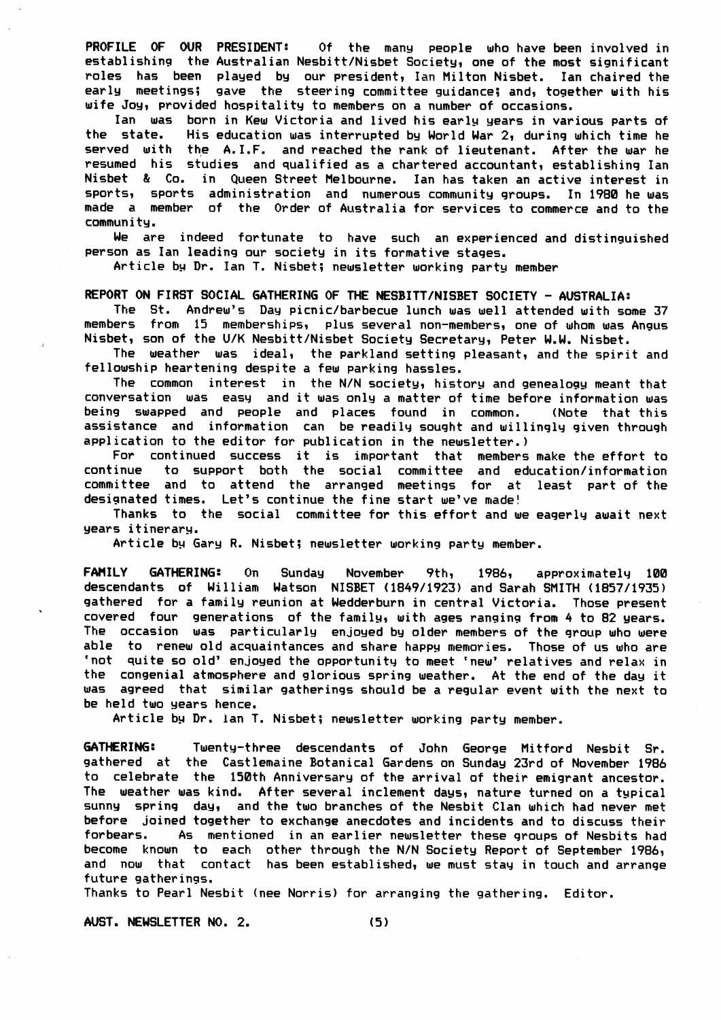PROFILE OF OUR PRESIDENT: Of the many people who have been involved in establishing the Australian Nesbitt/Nisbet Society, one of the most significant roles has been played by our president, Ian Milton Nisbet. Ian chaired the early meetings; gave the steering committee guidance; and, together with his wife Joy, provided hospitality to members on a number of occasions.

Ian was born in Kew Victoria and lived his early years in various parts of the state. His education was interrupted by World War 2, during which time he served with the A. I.F. and reached the rank of lieutenant. After the war he resumed his studies and qualified as a chartered accountant, establishing Ian Nisbet & Co. in Queen Street Melbourne. Ian has taken an active interest in sports, sports administration and numerous community groups. In 1980 he was made a member of the Order of Australia for services to commerce and to the commun i tg,

We are indeed fortunate to have such an experienced and distinguished person as Ian leading our societg in its formative stages,

Article by Dr. Ian T. Nisbet; newsletter working party member

# REPORT ON FIRST SOCIAL GATHERING OF THE NESBITT/NISBET SOCIETY - AUSTRALIA:

The St. Andrew's Day picnic/barbecue lunch was well attended with some 37 members from 15 memberships, plus several non-members, one of whom was Angus Nisbet, son of the U/K Nesbitt/Nisbet Society Secretary, Peter W.W. Nisbet.

The weather was ideal, the parkland setting pleasant, and the spirit and fellowship heartening despite a few parking hassles.

The common interest in the N/N society, history and genealogy meant that conversation was easy and it was only a matter of time before information was being swapped and people and places found in common. (Note that this assistance and information can be readily sought and willingly given through application to the editor for publication in the newsletter.)

For continued success it is important that members make the effort to continue to support both the social committee and education/information committee and to attend the arranged meetings for at least part of the designated times. Let's continue the fine start we've made!

Thanks to the social committee for this effort and we eagerly await next years itinerary.

Article by Gary R. Nisbet; newsletter working party member.

FAMILY GATHERING: On Sunday November 9th, 1986, approximately 100 descendants of William Watson NISBET (1849/1923) and Sarah SMITH (1857/1935) gathered for a family reunion at Wedderburn in central Victoria. Those present covered four generations of the family, with ages ranging from 4 to 82 years. The occasion was particularly enjoyed by older members of the group who were<br>able to renew old acquaintances and share happy memories. Those of us who are 'not quite so old' enjoyed the opportunity to meet 'new' relatives and relax in the congenial atmosphere and glorious spring weather. At the end of the day it was agreed that similar gatherings should be a regular event with the next to be held two years hence.

Article by Dr. lan T. Nisbet; newsletter working party member.

GATHERING: Twenty-three descendants of John George Mitford Nesbit Sr. gathered at the Castlenaine Sotanical Gardens on Sundag 23rd of November 1986 to celebrate the 150th Anniversarg of the arrival of their emigrant ancestor. The weather was kind. After several inclement days, nature turned on a typical sunny spring day, and the two branches of the Nesbit Clan which had never met before joined together to exchange anecdotes and incidents and to discuss their forbears. As mentioned in an earlier newsletter these groups of Nesbits had become knourn to each other through the N/N Societg Report of September 1986, and now that contact has been established, we must stay in touch and arrange future gatherings.

Thanks to Pearl Nesbit (nee Norris) for arranging the gathering, Editor.

AUST. NEWSLETTER NO. 2. (5)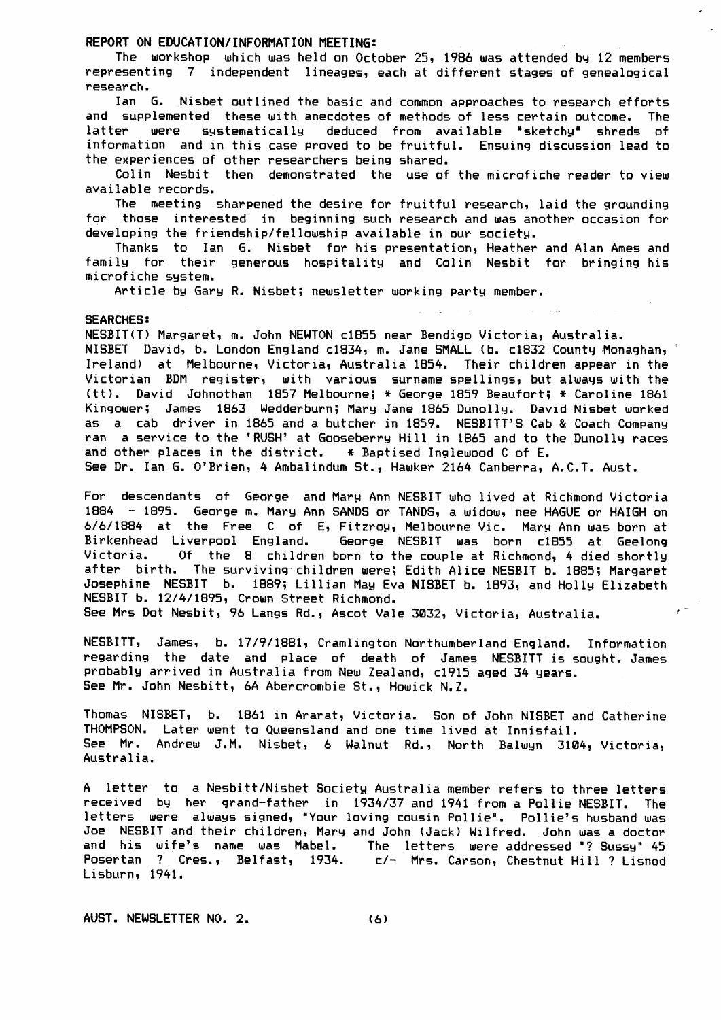## REPORT ON EDUCATION/INFORMATION MEETING:

The workshop which was held on October 25, 1986 was attended by 12 members representing 7 independent lineages, each at different stages of genealogical research.

Ian G. Nisbet outlined the basic and common approaches to research efforts and supplemented these with anecdotes of methods of less certain outcome. The latter were systematically deduced from available "sketchy" shreds of information and in this case proved to be fruitful. Ensuing discussion lead to the experiences of other researchers being shared.

Colin Nesbit then demonstrated the use of the microfiche reader to view available records.

The meeting sharpened the desire for fruitful research, laid the grounding for those interested in beginning such research and was another occasion for developing the friendship/fellowship available in our society.

Thanks to Ian G. Nisbet for his presentation, Heather and Alan Ames and family for their generous hospitality and Colin Nesbit for bringing his microfiche system.

Article by Gary R. Nisbet; newsletter working party member.

#### **SEARCHES:**

NESBIT(T) Margaret, m. John NEWTON c1855 near Bendigo Victoria, Australia. NISBET David, b. London England c1834, m. Jane SMALL (b. c1832 County Monaghan, Ireland) at Melbourne, Victoria, Australia 1854. Their children appear in the Victorian BDM register, with various surname spellings, but always with the (tt). David Johnothan 1857 Melbourne; \* George 1859 Beaufort; \* Caroline 1861 Kingower; James 1863 Wedderburn; Mary Jane 1865 Dunolly. David Nisbet worked as a cab driver in 1865 and a butcher in 1859. NESBITT'S Cab & Coach Company ran a service to the 'RUSH' at Gooseberry Hill in 1865 and to the Dunolly races and other places in the district.  $*$  Baptised Inglewood C of E.

See Dr. Ian G. O'Brien, 4 Ambalindum St., Hawker 2164 Canberra, A.C.T. Aust.

For descendants of George and Mary Ann NESBIT who lived at Richmond Victoria 1884 - 1895. George m. Mary Ann SANDS or TANDS, a widow, nee HAGUE or HAIGH on 6/6/1884 at the Free C of E, Fitzroy, Melbourne Vic. Mary Ann was born at Birkenhead Liverpool England. George NESBIT was born c1855 at Geelong Victoria. Of the 8 children born to the couple at Richmond, 4 died shortly after birth. The surviving children were; Edith Alice NESBIT b. 1885; Margaret Josephine NESBIT b. 1889; Lillian May Eva NISBET b. 1893, and Holly Elizabeth NESBIT b. 12/4/1895, Crown Street Richmond.  $\epsilon^+$ 

See Mrs Dot Nesbit, 96 Langs Rd., Ascot Vale 3032, Victoria, Australia.

NESBITT, James, b. 17/9/1881, Cramlington Northumberland England. Information regarding the date and place of death of James NESBITT is sought. James probably arrived in Australia from New Zealand, c1915 aged 34 years. See Mr. John Nesbitt, 6A Abercrombie St., Howick N.Z.

Thomas NISBET, b. 1861 in Ararat, Victoria. Son of John NISBET and Catherine THOMPSON. Later went to Queensland and one time lived at Innisfail. See Mr. Andrew J.M. Nisbet, 6 Walnut Rd., North Balwyn 3104, Victoria, Australia.

A letter to a Nesbitt/Nisbet Society Australia member refers to three letters received by her grand-father in 1934/37 and 1941 from a Pollie NESBIT. The letters were always signed, "Your loving cousin Pollie". Pollie's husband was Joe NESBIT and their children, Mary and John (Jack) Wilfred. John was a doctor and his wife's name was Mabel. The letters were addressed "? Sussy" 45<br>Posertan ? Cres., Belfast, 1934. c/- Mrs. Carson, Chestnut Hill ? Lisnod Lisburn, 1941.

AUST. NEWSLETTER NO. 2.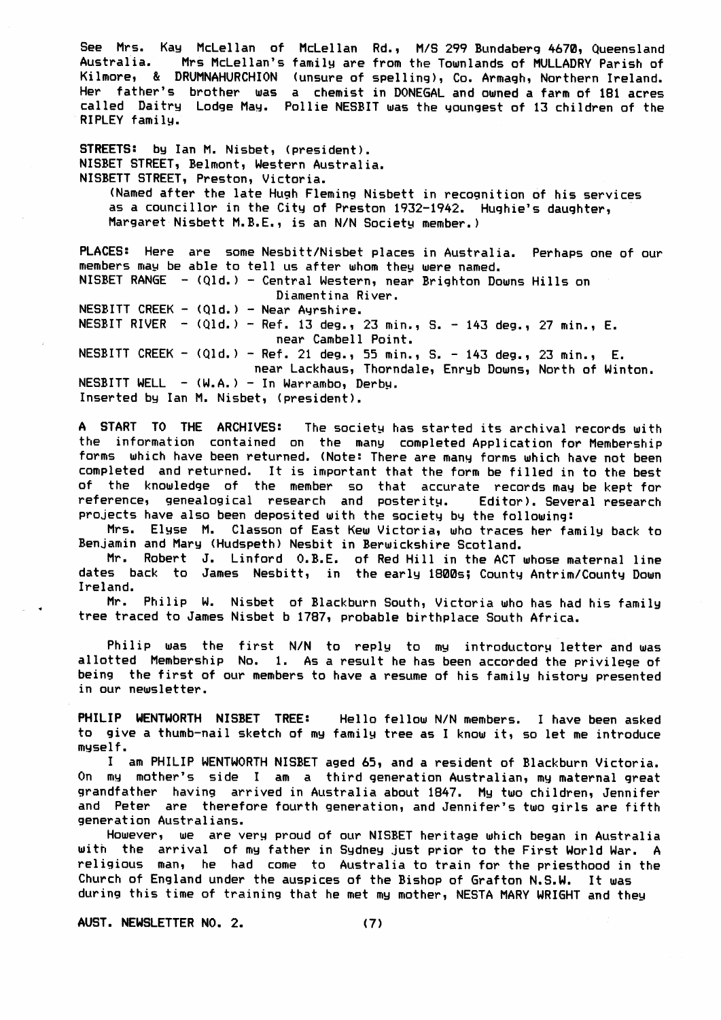See Mrs. Kay McLellan of McLellan Rd., M/S 299 Bundaberg 4670, Queensland<br>Australia. , Mrs McLellan's family are from the Townlands of MullADRY Parish of Mrs McLellan's family are from the Townlands of MULLADRY Parish of Kilmore, & DRUMNAHURCHION (unsure of spelling), Co. Armagh, Northern Ireland. Her father's brother was a chemist in DONEGAL and owned a farm of 181 acres called Daitry Lodge May. Pollie NESBIT was the youngest of 13 children of the RIPLEY family.

STREETS: by Ian M. Nisbet, (president). NISBET STREET, Belmont, Western Australia. NISBETT STREET, Preston, Victoria. (Named after the late Hugh Fleming Nisbett in recognition of his services as a councillor in the City of Preston 1932-1942. Hughie's daughter, Margaret Nisbett M.B.E., is an N/N Society member.)

PLACES: Here are some Nesbitt/Nisbet places in Australia. Perhaps one of our members may be able to tell us after whom they were named. NISBET RANGE - (Qld.) - Central Western, near Brighton Downs Hills on Diamentina Riven. NESBITT CREEK -  $(Q1d.)$  - Near Ayrshire. NESBIT RIVER -  $(Q1d.)$  - Ref. 13 deg., 23 min., S. - 143 deg., 27 min., E. near Cambell Point. NESBITT CREEK -  $(Q1d.)$  - Ref. 21 deg., 55 min., S. - 143 deg., 23 min., E. near Lackhaus, Thorndale, Enryb Downs, North of Winton.  $NESBITT WELL - (W.A.) - In Warrambo, Derby.$ Inserted by Ian M. Nisbet, (president).

A START TO THE ARCHIVES: The society has started its archival records with the information contained on the many completed Application for Membership forms which have been returned. (Note: There are many forms which have not been completed and returned. It is important that the form be filled in to the best of the knowledge of the member so that accurate records may be kept for reference, genealogical research and posterity. Editor). Several research projects have also been deposited with the society by the following:

Mrs. Elyse M. Classon of East Kew Victoria, who traces her family back to Benjamin and Mary (Hudspeth) Nesbit in Berwickshire Scotland.

Mr. Robert J. Linford 0.B.E. of Red Hill in the ACT whose maternal line dates back to James Nesbitt, in the early 1800s; County Antrim/County Down Ireland.

Mr. Philip W. Nisbet of Blackburn South, Victoria who has had his family tree traced to James Nisbet b 1787, probable birthplace South Africa.

Philip was the first  $N/N$  to reply to my introductory letter and was allotted Membership No. 1. As a result he has been accorded the privilege of being the first of our members to have a resume of his familg historg presented in our newsletter.

PHILIP WENTWORTH NISBET TREE: Hello fellow N/N members. I have been asked to give a thumb-nail sketch of my family tree as I know it, so let me introduce mgsel f.

I am PHILIP WENTWORTH NISBET aged 65, and a resident of Blackburn Victoria. On my mother's side I am a third generation Australian, my maternal great grandfather having arrived in Australia about 1847. My two children, Jennifer and Peter are therefore fourth generation, and Jennifer's two girls are fifth generat ion Austral ians.

However, we are very proud of our NISBET heritage which began in Australia with the arrival of my father in Sydney just prior to the First World War. A religious man, he had come to Australia to train for the priesthood in the Church of England under the auspices of the Bishop of Grafton N.S.W. It was during this time of training that he met my mother, NESTA MARY WRIGHT and they

AUST. NEWSLETTER NO. 2. (7)